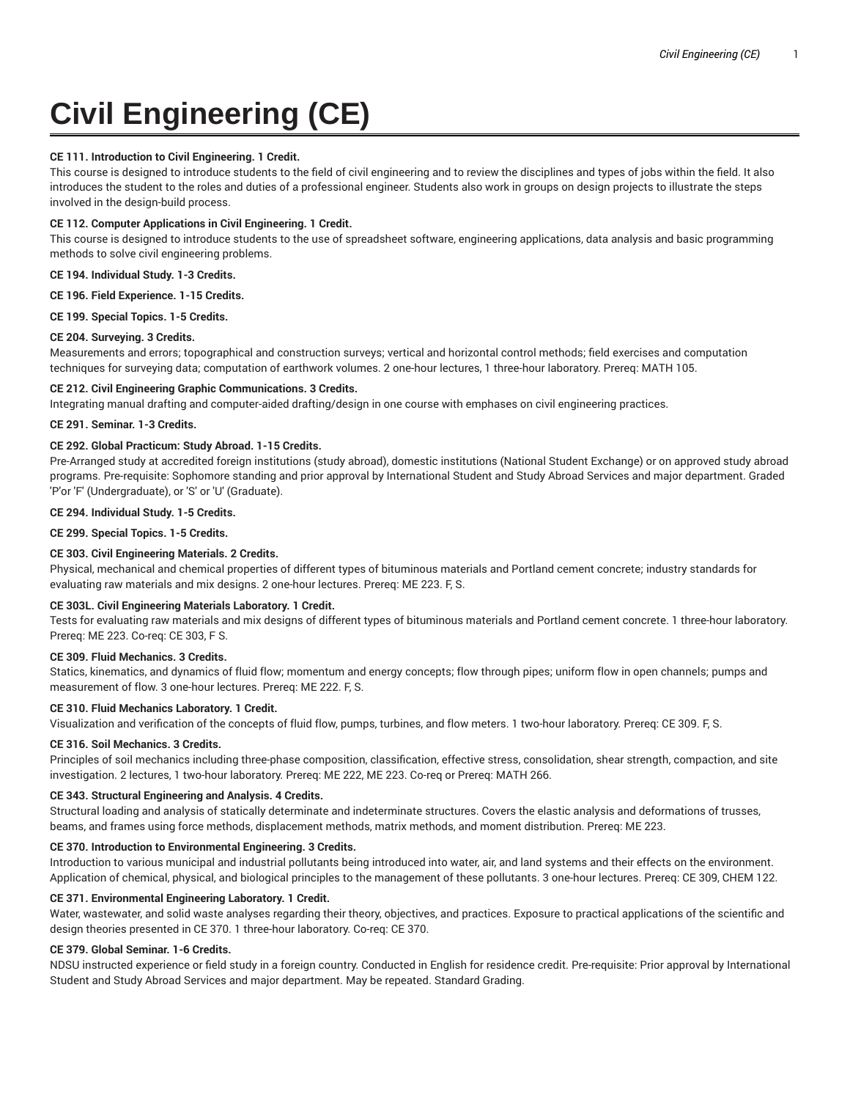# **Civil Engineering (CE)**

# **CE 111. Introduction to Civil Engineering. 1 Credit.**

This course is designed to introduce students to the field of civil engineering and to review the disciplines and types of jobs within the field. It also introduces the student to the roles and duties of a professional engineer. Students also work in groups on design projects to illustrate the steps involved in the design-build process.

# **CE 112. Computer Applications in Civil Engineering. 1 Credit.**

This course is designed to introduce students to the use of spreadsheet software, engineering applications, data analysis and basic programming methods to solve civil engineering problems.

# **CE 194. Individual Study. 1-3 Credits.**

**CE 196. Field Experience. 1-15 Credits.**

**CE 199. Special Topics. 1-5 Credits.**

## **CE 204. Surveying. 3 Credits.**

Measurements and errors; topographical and construction surveys; vertical and horizontal control methods; field exercises and computation techniques for surveying data; computation of earthwork volumes. 2 one-hour lectures, 1 three-hour laboratory. Prereq: MATH 105.

# **CE 212. Civil Engineering Graphic Communications. 3 Credits.**

Integrating manual drafting and computer-aided drafting/design in one course with emphases on civil engineering practices.

# **CE 291. Seminar. 1-3 Credits.**

## **CE 292. Global Practicum: Study Abroad. 1-15 Credits.**

Pre-Arranged study at accredited foreign institutions (study abroad), domestic institutions (National Student Exchange) or on approved study abroad programs. Pre-requisite: Sophomore standing and prior approval by International Student and Study Abroad Services and major department. Graded 'P'or 'F' (Undergraduate), or 'S' or 'U' (Graduate).

# **CE 294. Individual Study. 1-5 Credits.**

**CE 299. Special Topics. 1-5 Credits.**

# **CE 303. Civil Engineering Materials. 2 Credits.**

Physical, mechanical and chemical properties of different types of bituminous materials and Portland cement concrete; industry standards for evaluating raw materials and mix designs. 2 one-hour lectures. Prereq: ME 223. F, S.

## **CE 303L. Civil Engineering Materials Laboratory. 1 Credit.**

Tests for evaluating raw materials and mix designs of different types of bituminous materials and Portland cement concrete. 1 three-hour laboratory. Prereq: ME 223. Co-req: CE 303, F S.

# **CE 309. Fluid Mechanics. 3 Credits.**

Statics, kinematics, and dynamics of fluid flow; momentum and energy concepts; flow through pipes; uniform flow in open channels; pumps and measurement of flow. 3 one-hour lectures. Prereq: ME 222. F, S.

# **CE 310. Fluid Mechanics Laboratory. 1 Credit.**

Visualization and verification of the concepts of fluid flow, pumps, turbines, and flow meters. 1 two-hour laboratory. Prereq: CE 309. F, S.

## **CE 316. Soil Mechanics. 3 Credits.**

Principles of soil mechanics including three-phase composition, classification, effective stress, consolidation, shear strength, compaction, and site investigation. 2 lectures, 1 two-hour laboratory. Prereq: ME 222, ME 223. Co-req or Prereq: MATH 266.

## **CE 343. Structural Engineering and Analysis. 4 Credits.**

Structural loading and analysis of statically determinate and indeterminate structures. Covers the elastic analysis and deformations of trusses, beams, and frames using force methods, displacement methods, matrix methods, and moment distribution. Prereq: ME 223.

# **CE 370. Introduction to Environmental Engineering. 3 Credits.**

Introduction to various municipal and industrial pollutants being introduced into water, air, and land systems and their effects on the environment. Application of chemical, physical, and biological principles to the management of these pollutants. 3 one-hour lectures. Prereq: CE 309, CHEM 122.

## **CE 371. Environmental Engineering Laboratory. 1 Credit.**

Water, wastewater, and solid waste analyses regarding their theory, objectives, and practices. Exposure to practical applications of the scientific and design theories presented in CE 370. 1 three-hour laboratory. Co-req: CE 370.

## **CE 379. Global Seminar. 1-6 Credits.**

NDSU instructed experience or field study in a foreign country. Conducted in English for residence credit. Pre-requisite: Prior approval by International Student and Study Abroad Services and major department. May be repeated. Standard Grading.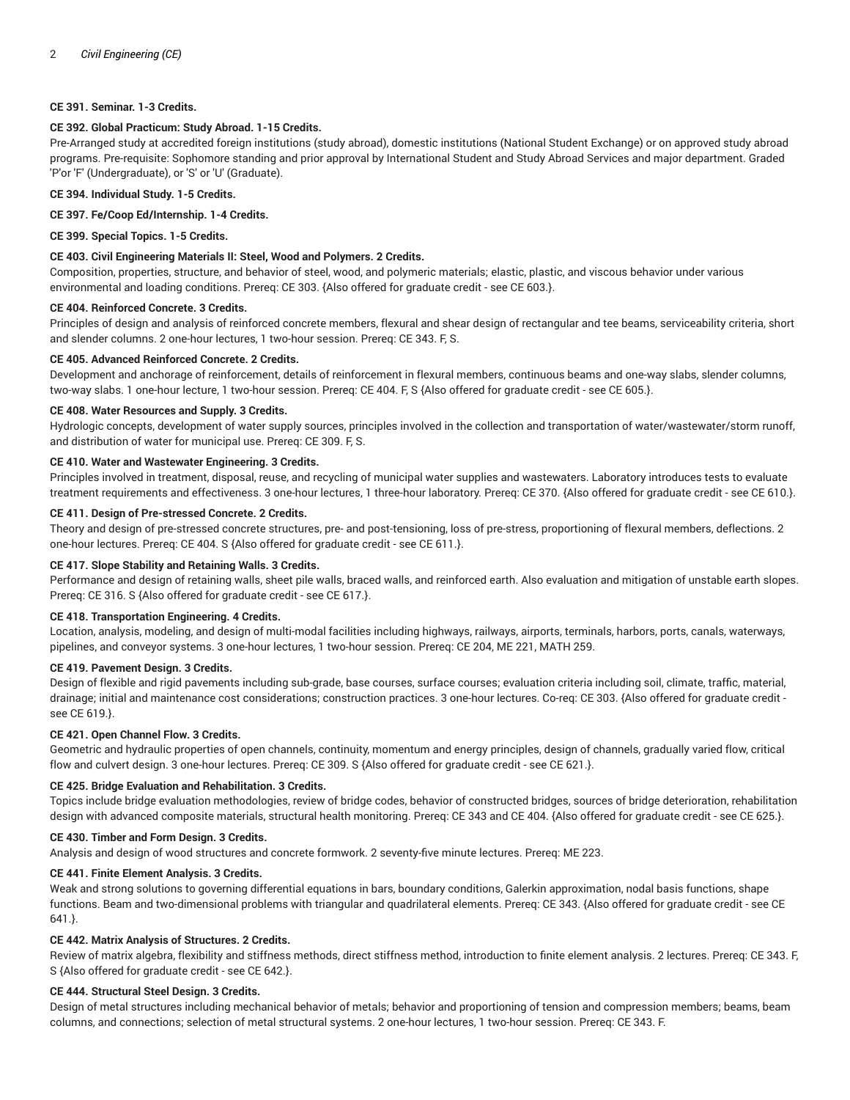# **CE 391. Seminar. 1-3 Credits.**

#### **CE 392. Global Practicum: Study Abroad. 1-15 Credits.**

Pre-Arranged study at accredited foreign institutions (study abroad), domestic institutions (National Student Exchange) or on approved study abroad programs. Pre-requisite: Sophomore standing and prior approval by International Student and Study Abroad Services and major department. Graded 'P'or 'F' (Undergraduate), or 'S' or 'U' (Graduate).

#### **CE 394. Individual Study. 1-5 Credits.**

#### **CE 397. Fe/Coop Ed/Internship. 1-4 Credits.**

**CE 399. Special Topics. 1-5 Credits.**

#### **CE 403. Civil Engineering Materials II: Steel, Wood and Polymers. 2 Credits.**

Composition, properties, structure, and behavior of steel, wood, and polymeric materials; elastic, plastic, and viscous behavior under various environmental and loading conditions. Prereq: CE 303. {Also offered for graduate credit - see CE 603.}.

#### **CE 404. Reinforced Concrete. 3 Credits.**

Principles of design and analysis of reinforced concrete members, flexural and shear design of rectangular and tee beams, serviceability criteria, short and slender columns. 2 one-hour lectures, 1 two-hour session. Prereq: CE 343. F, S.

# **CE 405. Advanced Reinforced Concrete. 2 Credits.**

Development and anchorage of reinforcement, details of reinforcement in flexural members, continuous beams and one-way slabs, slender columns, two-way slabs. 1 one-hour lecture, 1 two-hour session. Prereq: CE 404. F, S {Also offered for graduate credit - see CE 605.}.

#### **CE 408. Water Resources and Supply. 3 Credits.**

Hydrologic concepts, development of water supply sources, principles involved in the collection and transportation of water/wastewater/storm runoff, and distribution of water for municipal use. Prereq: CE 309. F, S.

#### **CE 410. Water and Wastewater Engineering. 3 Credits.**

Principles involved in treatment, disposal, reuse, and recycling of municipal water supplies and wastewaters. Laboratory introduces tests to evaluate treatment requirements and effectiveness. 3 one-hour lectures, 1 three-hour laboratory. Prereq: CE 370. {Also offered for graduate credit - see CE 610.}.

#### **CE 411. Design of Pre-stressed Concrete. 2 Credits.**

Theory and design of pre-stressed concrete structures, pre- and post-tensioning, loss of pre-stress, proportioning of flexural members, deflections. 2 one-hour lectures. Prereq: CE 404. S {Also offered for graduate credit - see CE 611.}.

# **CE 417. Slope Stability and Retaining Walls. 3 Credits.**

Performance and design of retaining walls, sheet pile walls, braced walls, and reinforced earth. Also evaluation and mitigation of unstable earth slopes. Prereq: CE 316. S {Also offered for graduate credit - see CE 617.}.

# **CE 418. Transportation Engineering. 4 Credits.**

Location, analysis, modeling, and design of multi-modal facilities including highways, railways, airports, terminals, harbors, ports, canals, waterways, pipelines, and conveyor systems. 3 one-hour lectures, 1 two-hour session. Prereq: CE 204, ME 221, MATH 259.

#### **CE 419. Pavement Design. 3 Credits.**

Design of flexible and rigid pavements including sub-grade, base courses, surface courses; evaluation criteria including soil, climate, traffic, material, drainage; initial and maintenance cost considerations; construction practices. 3 one-hour lectures. Co-req: CE 303. {Also offered for graduate credit see CE 619.}.

## **CE 421. Open Channel Flow. 3 Credits.**

Geometric and hydraulic properties of open channels, continuity, momentum and energy principles, design of channels, gradually varied flow, critical flow and culvert design. 3 one-hour lectures. Prereq: CE 309. S {Also offered for graduate credit - see CE 621.}.

#### **CE 425. Bridge Evaluation and Rehabilitation. 3 Credits.**

Topics include bridge evaluation methodologies, review of bridge codes, behavior of constructed bridges, sources of bridge deterioration, rehabilitation design with advanced composite materials, structural health monitoring. Prereq: CE 343 and CE 404. {Also offered for graduate credit - see CE 625.}.

#### **CE 430. Timber and Form Design. 3 Credits.**

Analysis and design of wood structures and concrete formwork. 2 seventy-five minute lectures. Prereq: ME 223.

## **CE 441. Finite Element Analysis. 3 Credits.**

Weak and strong solutions to governing differential equations in bars, boundary conditions, Galerkin approximation, nodal basis functions, shape functions. Beam and two-dimensional problems with triangular and quadrilateral elements. Prereq: CE 343. {Also offered for graduate credit - see CE 641.}.

# **CE 442. Matrix Analysis of Structures. 2 Credits.**

Review of matrix algebra, flexibility and stiffness methods, direct stiffness method, introduction to finite element analysis. 2 lectures. Prereq: CE 343. F, S {Also offered for graduate credit - see CE 642.}.

## **CE 444. Structural Steel Design. 3 Credits.**

Design of metal structures including mechanical behavior of metals; behavior and proportioning of tension and compression members; beams, beam columns, and connections; selection of metal structural systems. 2 one-hour lectures, 1 two-hour session. Prereq: CE 343. F.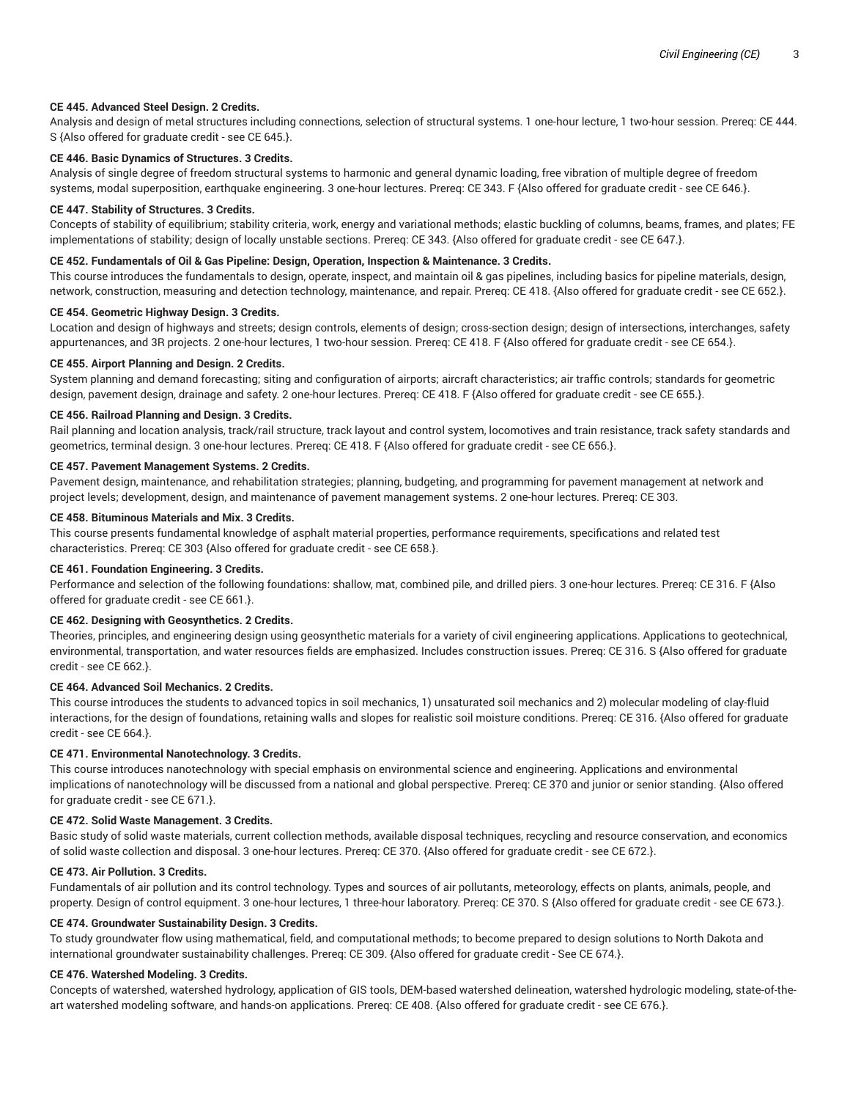#### **CE 445. Advanced Steel Design. 2 Credits.**

Analysis and design of metal structures including connections, selection of structural systems. 1 one-hour lecture, 1 two-hour session. Prereq: CE 444. S {Also offered for graduate credit - see CE 645.}.

# **CE 446. Basic Dynamics of Structures. 3 Credits.**

Analysis of single degree of freedom structural systems to harmonic and general dynamic loading, free vibration of multiple degree of freedom systems, modal superposition, earthquake engineering. 3 one-hour lectures. Prereq: CE 343. F {Also offered for graduate credit - see CE 646.}.

#### **CE 447. Stability of Structures. 3 Credits.**

Concepts of stability of equilibrium; stability criteria, work, energy and variational methods; elastic buckling of columns, beams, frames, and plates; FE implementations of stability; design of locally unstable sections. Prereq: CE 343. {Also offered for graduate credit - see CE 647.}.

#### **CE 452. Fundamentals of Oil & Gas Pipeline: Design, Operation, Inspection & Maintenance. 3 Credits.**

This course introduces the fundamentals to design, operate, inspect, and maintain oil & gas pipelines, including basics for pipeline materials, design, network, construction, measuring and detection technology, maintenance, and repair. Prereq: CE 418. {Also offered for graduate credit - see CE 652.}.

# **CE 454. Geometric Highway Design. 3 Credits.**

Location and design of highways and streets; design controls, elements of design; cross-section design; design of intersections, interchanges, safety appurtenances, and 3R projects. 2 one-hour lectures, 1 two-hour session. Prereq: CE 418. F {Also offered for graduate credit - see CE 654.}.

#### **CE 455. Airport Planning and Design. 2 Credits.**

System planning and demand forecasting; siting and configuration of airports; aircraft characteristics; air traffic controls; standards for geometric design, pavement design, drainage and safety. 2 one-hour lectures. Prereq: CE 418. F {Also offered for graduate credit - see CE 655.}.

#### **CE 456. Railroad Planning and Design. 3 Credits.**

Rail planning and location analysis, track/rail structure, track layout and control system, locomotives and train resistance, track safety standards and geometrics, terminal design. 3 one-hour lectures. Prereq: CE 418. F {Also offered for graduate credit - see CE 656.}.

#### **CE 457. Pavement Management Systems. 2 Credits.**

Pavement design, maintenance, and rehabilitation strategies; planning, budgeting, and programming for pavement management at network and project levels; development, design, and maintenance of pavement management systems. 2 one-hour lectures. Prereq: CE 303.

# **CE 458. Bituminous Materials and Mix. 3 Credits.**

This course presents fundamental knowledge of asphalt material properties, performance requirements, specifications and related test characteristics. Prereq: CE 303 {Also offered for graduate credit - see CE 658.}.

#### **CE 461. Foundation Engineering. 3 Credits.**

Performance and selection of the following foundations: shallow, mat, combined pile, and drilled piers. 3 one-hour lectures. Prereq: CE 316. F {Also offered for graduate credit - see CE 661.}.

#### **CE 462. Designing with Geosynthetics. 2 Credits.**

Theories, principles, and engineering design using geosynthetic materials for a variety of civil engineering applications. Applications to geotechnical, environmental, transportation, and water resources fields are emphasized. Includes construction issues. Prereq: CE 316. S {Also offered for graduate credit - see CE 662.}.

#### **CE 464. Advanced Soil Mechanics. 2 Credits.**

This course introduces the students to advanced topics in soil mechanics, 1) unsaturated soil mechanics and 2) molecular modeling of clay-fluid interactions, for the design of foundations, retaining walls and slopes for realistic soil moisture conditions. Prereq: CE 316. {Also offered for graduate credit - see CE 664.}.

# **CE 471. Environmental Nanotechnology. 3 Credits.**

This course introduces nanotechnology with special emphasis on environmental science and engineering. Applications and environmental implications of nanotechnology will be discussed from a national and global perspective. Prereq: CE 370 and junior or senior standing. {Also offered for graduate credit - see CE 671.}.

#### **CE 472. Solid Waste Management. 3 Credits.**

Basic study of solid waste materials, current collection methods, available disposal techniques, recycling and resource conservation, and economics of solid waste collection and disposal. 3 one-hour lectures. Prereq: CE 370. {Also offered for graduate credit - see CE 672.}.

#### **CE 473. Air Pollution. 3 Credits.**

Fundamentals of air pollution and its control technology. Types and sources of air pollutants, meteorology, effects on plants, animals, people, and property. Design of control equipment. 3 one-hour lectures, 1 three-hour laboratory. Prereq: CE 370. S {Also offered for graduate credit - see CE 673.}.

#### **CE 474. Groundwater Sustainability Design. 3 Credits.**

To study groundwater flow using mathematical, field, and computational methods; to become prepared to design solutions to North Dakota and international groundwater sustainability challenges. Prereq: CE 309. {Also offered for graduate credit - See CE 674.}.

#### **CE 476. Watershed Modeling. 3 Credits.**

Concepts of watershed, watershed hydrology, application of GIS tools, DEM-based watershed delineation, watershed hydrologic modeling, state-of-theart watershed modeling software, and hands-on applications. Prereq: CE 408. {Also offered for graduate credit - see CE 676.}.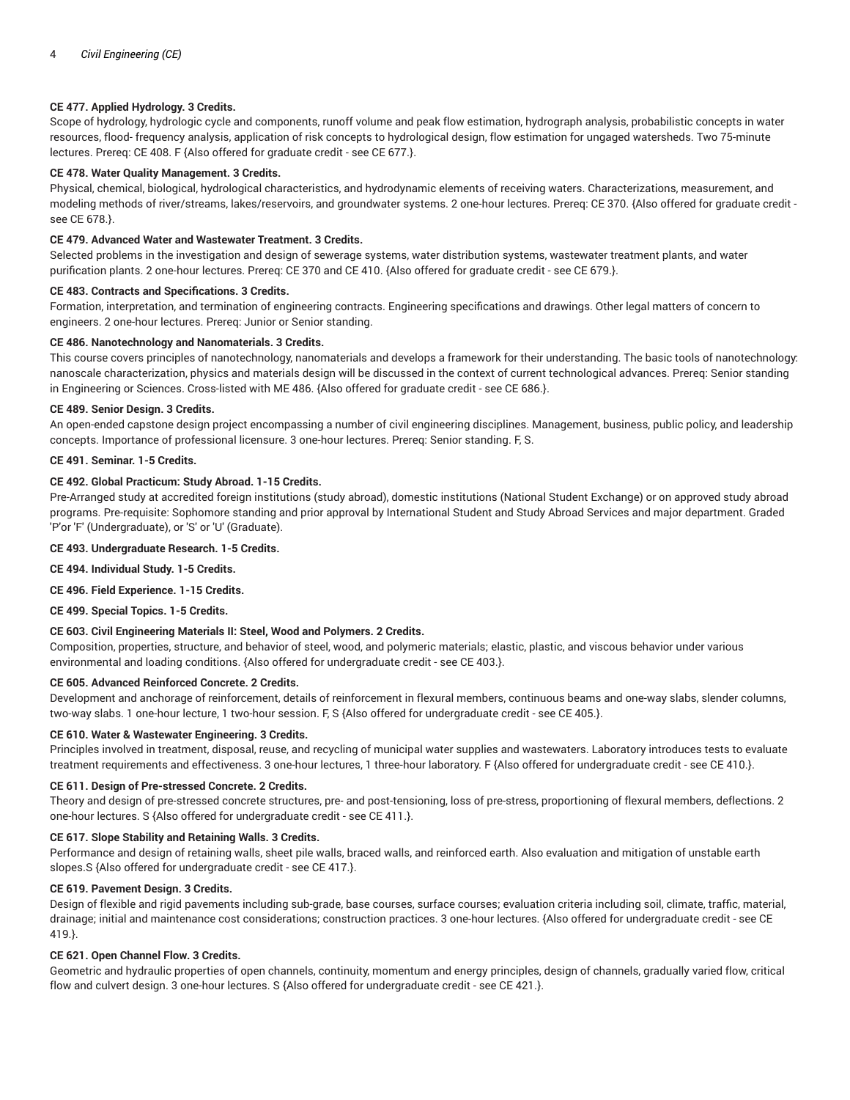# **CE 477. Applied Hydrology. 3 Credits.**

Scope of hydrology, hydrologic cycle and components, runoff volume and peak flow estimation, hydrograph analysis, probabilistic concepts in water resources, flood- frequency analysis, application of risk concepts to hydrological design, flow estimation for ungaged watersheds. Two 75-minute lectures. Prereq: CE 408. F {Also offered for graduate credit - see CE 677.}.

## **CE 478. Water Quality Management. 3 Credits.**

Physical, chemical, biological, hydrological characteristics, and hydrodynamic elements of receiving waters. Characterizations, measurement, and modeling methods of river/streams, lakes/reservoirs, and groundwater systems. 2 one-hour lectures. Prereq: CE 370. {Also offered for graduate credit see CE 678.}.

# **CE 479. Advanced Water and Wastewater Treatment. 3 Credits.**

Selected problems in the investigation and design of sewerage systems, water distribution systems, wastewater treatment plants, and water purification plants. 2 one-hour lectures. Prereq: CE 370 and CE 410. {Also offered for graduate credit - see CE 679.}.

#### **CE 483. Contracts and Specifications. 3 Credits.**

Formation, interpretation, and termination of engineering contracts. Engineering specifications and drawings. Other legal matters of concern to engineers. 2 one-hour lectures. Prereq: Junior or Senior standing.

## **CE 486. Nanotechnology and Nanomaterials. 3 Credits.**

This course covers principles of nanotechnology, nanomaterials and develops a framework for their understanding. The basic tools of nanotechnology: nanoscale characterization, physics and materials design will be discussed in the context of current technological advances. Prereq: Senior standing in Engineering or Sciences. Cross-listed with ME 486. {Also offered for graduate credit - see CE 686.}.

#### **CE 489. Senior Design. 3 Credits.**

An open-ended capstone design project encompassing a number of civil engineering disciplines. Management, business, public policy, and leadership concepts. Importance of professional licensure. 3 one-hour lectures. Prereq: Senior standing. F, S.

#### **CE 491. Seminar. 1-5 Credits.**

# **CE 492. Global Practicum: Study Abroad. 1-15 Credits.**

Pre-Arranged study at accredited foreign institutions (study abroad), domestic institutions (National Student Exchange) or on approved study abroad programs. Pre-requisite: Sophomore standing and prior approval by International Student and Study Abroad Services and major department. Graded 'P'or 'F' (Undergraduate), or 'S' or 'U' (Graduate).

**CE 493. Undergraduate Research. 1-5 Credits.**

**CE 494. Individual Study. 1-5 Credits.**

**CE 496. Field Experience. 1-15 Credits.**

**CE 499. Special Topics. 1-5 Credits.**

## **CE 603. Civil Engineering Materials II: Steel, Wood and Polymers. 2 Credits.**

Composition, properties, structure, and behavior of steel, wood, and polymeric materials; elastic, plastic, and viscous behavior under various environmental and loading conditions. {Also offered for undergraduate credit - see CE 403.}.

#### **CE 605. Advanced Reinforced Concrete. 2 Credits.**

Development and anchorage of reinforcement, details of reinforcement in flexural members, continuous beams and one-way slabs, slender columns, two-way slabs. 1 one-hour lecture, 1 two-hour session. F, S {Also offered for undergraduate credit - see CE 405.}.

# **CE 610. Water & Wastewater Engineering. 3 Credits.**

Principles involved in treatment, disposal, reuse, and recycling of municipal water supplies and wastewaters. Laboratory introduces tests to evaluate treatment requirements and effectiveness. 3 one-hour lectures, 1 three-hour laboratory. F {Also offered for undergraduate credit - see CE 410.}.

#### **CE 611. Design of Pre-stressed Concrete. 2 Credits.**

Theory and design of pre-stressed concrete structures, pre- and post-tensioning, loss of pre-stress, proportioning of flexural members, deflections. 2 one-hour lectures. S {Also offered for undergraduate credit - see CE 411.}.

## **CE 617. Slope Stability and Retaining Walls. 3 Credits.**

Performance and design of retaining walls, sheet pile walls, braced walls, and reinforced earth. Also evaluation and mitigation of unstable earth slopes.S {Also offered for undergraduate credit - see CE 417.}.

#### **CE 619. Pavement Design. 3 Credits.**

Design of flexible and rigid pavements including sub-grade, base courses, surface courses; evaluation criteria including soil, climate, traffic, material, drainage; initial and maintenance cost considerations; construction practices. 3 one-hour lectures. {Also offered for undergraduate credit - see CE 419.}.

## **CE 621. Open Channel Flow. 3 Credits.**

Geometric and hydraulic properties of open channels, continuity, momentum and energy principles, design of channels, gradually varied flow, critical flow and culvert design. 3 one-hour lectures. S {Also offered for undergraduate credit - see CE 421.}.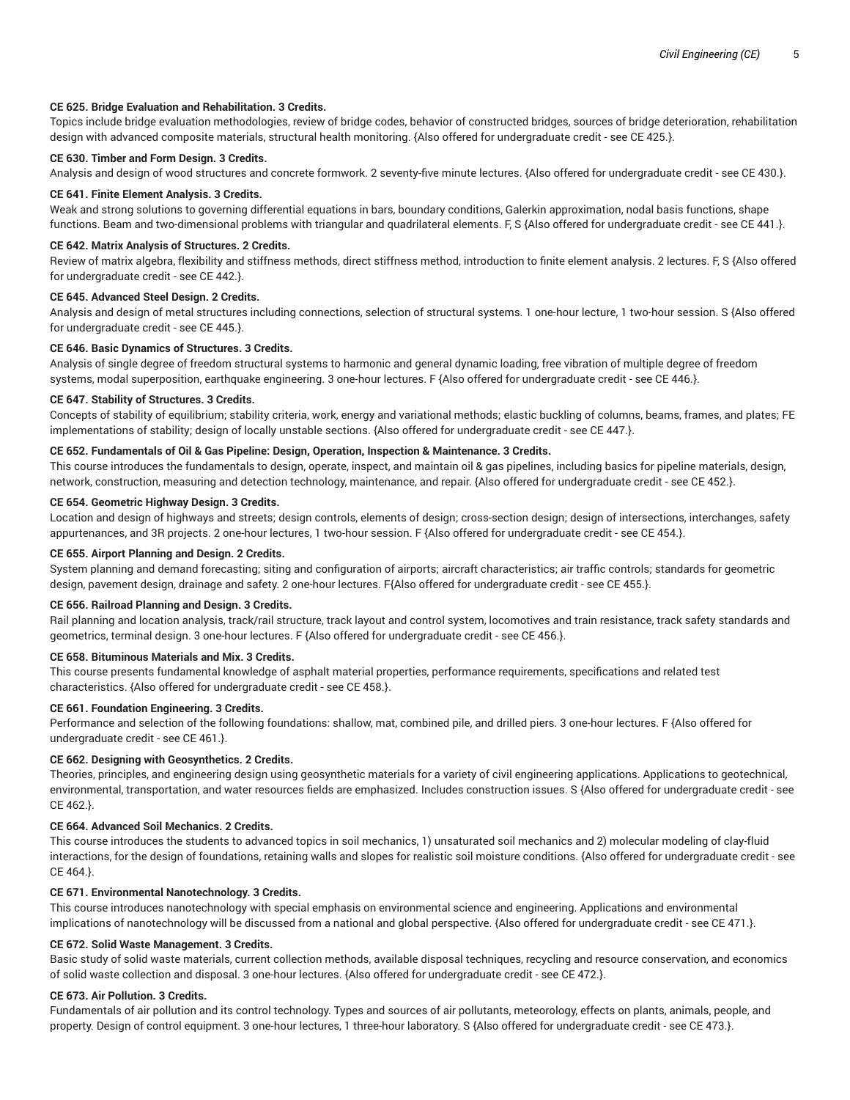#### **CE 625. Bridge Evaluation and Rehabilitation. 3 Credits.**

Topics include bridge evaluation methodologies, review of bridge codes, behavior of constructed bridges, sources of bridge deterioration, rehabilitation design with advanced composite materials, structural health monitoring. {Also offered for undergraduate credit - see CE 425.}.

# **CE 630. Timber and Form Design. 3 Credits.**

Analysis and design of wood structures and concrete formwork. 2 seventy-five minute lectures. {Also offered for undergraduate credit - see CE 430.}.

#### **CE 641. Finite Element Analysis. 3 Credits.**

Weak and strong solutions to governing differential equations in bars, boundary conditions, Galerkin approximation, nodal basis functions, shape functions. Beam and two-dimensional problems with triangular and quadrilateral elements. F, S {Also offered for undergraduate credit - see CE 441.}.

#### **CE 642. Matrix Analysis of Structures. 2 Credits.**

Review of matrix algebra, flexibility and stiffness methods, direct stiffness method, introduction to finite element analysis. 2 lectures. F, S {Also offered for undergraduate credit - see CE 442.}.

# **CE 645. Advanced Steel Design. 2 Credits.**

Analysis and design of metal structures including connections, selection of structural systems. 1 one-hour lecture, 1 two-hour session. S {Also offered for undergraduate credit - see CE 445.}.

#### **CE 646. Basic Dynamics of Structures. 3 Credits.**

Analysis of single degree of freedom structural systems to harmonic and general dynamic loading, free vibration of multiple degree of freedom systems, modal superposition, earthquake engineering. 3 one-hour lectures. F {Also offered for undergraduate credit - see CE 446.}.

#### **CE 647. Stability of Structures. 3 Credits.**

Concepts of stability of equilibrium; stability criteria, work, energy and variational methods; elastic buckling of columns, beams, frames, and plates; FE implementations of stability; design of locally unstable sections. {Also offered for undergraduate credit - see CE 447.}.

# **CE 652. Fundamentals of Oil & Gas Pipeline: Design, Operation, Inspection & Maintenance. 3 Credits.**

This course introduces the fundamentals to design, operate, inspect, and maintain oil & gas pipelines, including basics for pipeline materials, design, network, construction, measuring and detection technology, maintenance, and repair. {Also offered for undergraduate credit - see CE 452.}.

# **CE 654. Geometric Highway Design. 3 Credits.**

Location and design of highways and streets; design controls, elements of design; cross-section design; design of intersections, interchanges, safety appurtenances, and 3R projects. 2 one-hour lectures, 1 two-hour session. F {Also offered for undergraduate credit - see CE 454.}.

#### **CE 655. Airport Planning and Design. 2 Credits.**

System planning and demand forecasting; siting and configuration of airports; aircraft characteristics; air traffic controls; standards for geometric design, pavement design, drainage and safety. 2 one-hour lectures. F{Also offered for undergraduate credit - see CE 455.}.

#### **CE 656. Railroad Planning and Design. 3 Credits.**

Rail planning and location analysis, track/rail structure, track layout and control system, locomotives and train resistance, track safety standards and geometrics, terminal design. 3 one-hour lectures. F {Also offered for undergraduate credit - see CE 456.}.

## **CE 658. Bituminous Materials and Mix. 3 Credits.**

This course presents fundamental knowledge of asphalt material properties, performance requirements, specifications and related test characteristics. {Also offered for undergraduate credit - see CE 458.}.

#### **CE 661. Foundation Engineering. 3 Credits.**

Performance and selection of the following foundations: shallow, mat, combined pile, and drilled piers. 3 one-hour lectures. F {Also offered for undergraduate credit - see CE 461.}.

#### **CE 662. Designing with Geosynthetics. 2 Credits.**

Theories, principles, and engineering design using geosynthetic materials for a variety of civil engineering applications. Applications to geotechnical, environmental, transportation, and water resources fields are emphasized. Includes construction issues. S {Also offered for undergraduate credit - see CE 462.}.

# **CE 664. Advanced Soil Mechanics. 2 Credits.**

This course introduces the students to advanced topics in soil mechanics, 1) unsaturated soil mechanics and 2) molecular modeling of clay-fluid interactions, for the design of foundations, retaining walls and slopes for realistic soil moisture conditions. {Also offered for undergraduate credit - see CE 464.}.

#### **CE 671. Environmental Nanotechnology. 3 Credits.**

This course introduces nanotechnology with special emphasis on environmental science and engineering. Applications and environmental implications of nanotechnology will be discussed from a national and global perspective. {Also offered for undergraduate credit - see CE 471.}.

#### **CE 672. Solid Waste Management. 3 Credits.**

Basic study of solid waste materials, current collection methods, available disposal techniques, recycling and resource conservation, and economics of solid waste collection and disposal. 3 one-hour lectures. {Also offered for undergraduate credit - see CE 472.}.

#### **CE 673. Air Pollution. 3 Credits.**

Fundamentals of air pollution and its control technology. Types and sources of air pollutants, meteorology, effects on plants, animals, people, and property. Design of control equipment. 3 one-hour lectures, 1 three-hour laboratory. S {Also offered for undergraduate credit - see CE 473.}.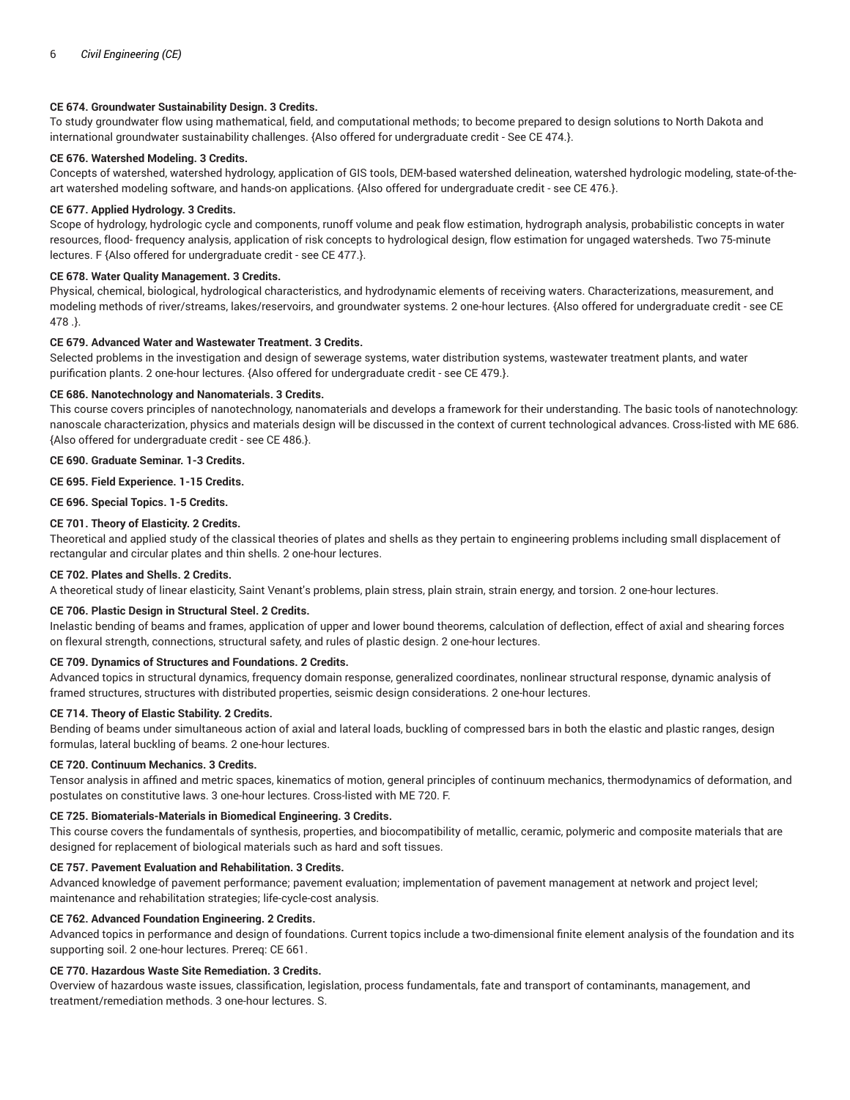# **CE 674. Groundwater Sustainability Design. 3 Credits.**

To study groundwater flow using mathematical, field, and computational methods; to become prepared to design solutions to North Dakota and international groundwater sustainability challenges. {Also offered for undergraduate credit - See CE 474.}.

# **CE 676. Watershed Modeling. 3 Credits.**

Concepts of watershed, watershed hydrology, application of GIS tools, DEM-based watershed delineation, watershed hydrologic modeling, state-of-theart watershed modeling software, and hands-on applications. {Also offered for undergraduate credit - see CE 476.}.

# **CE 677. Applied Hydrology. 3 Credits.**

Scope of hydrology, hydrologic cycle and components, runoff volume and peak flow estimation, hydrograph analysis, probabilistic concepts in water resources, flood- frequency analysis, application of risk concepts to hydrological design, flow estimation for ungaged watersheds. Two 75-minute lectures. F {Also offered for undergraduate credit - see CE 477.}.

# **CE 678. Water Quality Management. 3 Credits.**

Physical, chemical, biological, hydrological characteristics, and hydrodynamic elements of receiving waters. Characterizations, measurement, and modeling methods of river/streams, lakes/reservoirs, and groundwater systems. 2 one-hour lectures. {Also offered for undergraduate credit - see CE 478 .}.

# **CE 679. Advanced Water and Wastewater Treatment. 3 Credits.**

Selected problems in the investigation and design of sewerage systems, water distribution systems, wastewater treatment plants, and water purification plants. 2 one-hour lectures. {Also offered for undergraduate credit - see CE 479.}.

# **CE 686. Nanotechnology and Nanomaterials. 3 Credits.**

This course covers principles of nanotechnology, nanomaterials and develops a framework for their understanding. The basic tools of nanotechnology: nanoscale characterization, physics and materials design will be discussed in the context of current technological advances. Cross-listed with ME 686. {Also offered for undergraduate credit - see CE 486.}.

## **CE 690. Graduate Seminar. 1-3 Credits.**

# **CE 695. Field Experience. 1-15 Credits.**

**CE 696. Special Topics. 1-5 Credits.**

## **CE 701. Theory of Elasticity. 2 Credits.**

Theoretical and applied study of the classical theories of plates and shells as they pertain to engineering problems including small displacement of rectangular and circular plates and thin shells. 2 one-hour lectures.

## **CE 702. Plates and Shells. 2 Credits.**

A theoretical study of linear elasticity, Saint Venant's problems, plain stress, plain strain, strain energy, and torsion. 2 one-hour lectures.

## **CE 706. Plastic Design in Structural Steel. 2 Credits.**

Inelastic bending of beams and frames, application of upper and lower bound theorems, calculation of deflection, effect of axial and shearing forces on flexural strength, connections, structural safety, and rules of plastic design. 2 one-hour lectures.

# **CE 709. Dynamics of Structures and Foundations. 2 Credits.**

Advanced topics in structural dynamics, frequency domain response, generalized coordinates, nonlinear structural response, dynamic analysis of framed structures, structures with distributed properties, seismic design considerations. 2 one-hour lectures.

## **CE 714. Theory of Elastic Stability. 2 Credits.**

Bending of beams under simultaneous action of axial and lateral loads, buckling of compressed bars in both the elastic and plastic ranges, design formulas, lateral buckling of beams. 2 one-hour lectures.

## **CE 720. Continuum Mechanics. 3 Credits.**

Tensor analysis in affined and metric spaces, kinematics of motion, general principles of continuum mechanics, thermodynamics of deformation, and postulates on constitutive laws. 3 one-hour lectures. Cross-listed with ME 720. F.

## **CE 725. Biomaterials-Materials in Biomedical Engineering. 3 Credits.**

This course covers the fundamentals of synthesis, properties, and biocompatibility of metallic, ceramic, polymeric and composite materials that are designed for replacement of biological materials such as hard and soft tissues.

## **CE 757. Pavement Evaluation and Rehabilitation. 3 Credits.**

Advanced knowledge of pavement performance; pavement evaluation; implementation of pavement management at network and project level; maintenance and rehabilitation strategies; life-cycle-cost analysis.

# **CE 762. Advanced Foundation Engineering. 2 Credits.**

Advanced topics in performance and design of foundations. Current topics include a two-dimensional finite element analysis of the foundation and its supporting soil. 2 one-hour lectures. Prereq: CE 661.

## **CE 770. Hazardous Waste Site Remediation. 3 Credits.**

Overview of hazardous waste issues, classification, legislation, process fundamentals, fate and transport of contaminants, management, and treatment/remediation methods. 3 one-hour lectures. S.